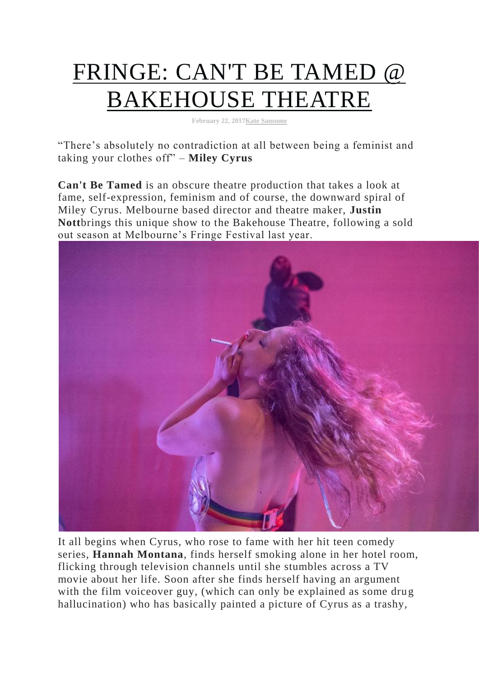## [FRINGE: CAN'T BE TAMED @](http://www.thisisradelaide.com.au/rad-life/2017/2/21/fringe-cant-be-tamed-bakehouse-theatre)  [BAKEHOUSE THEATRE](http://www.thisisradelaide.com.au/rad-life/2017/2/21/fringe-cant-be-tamed-bakehouse-theatre)

**February 22, 201[7Kate Sansome](http://www.thisisradelaide.com.au/rad-life/?author=56396141e4b08dfc7812a9c8)**

"There's absolutely no contradiction at all between being a feminist and taking your clothes off" – **Miley Cyrus**

**Can't Be Tamed** is an obscure theatre production that takes a look at fame, self-expression, feminism and of course, the downward spiral of Miley Cyrus. Melbourne based director and theatre maker, **Justin Nott**brings this unique show to the Bakehouse Theatre, following a sold out season at Melbourne's Fringe Festival last year.



It all begins when Cyrus, who rose to fame with her hit teen comedy series, **Hannah Montana**, finds herself smoking alone in her hotel room, flicking through television channels until she stumbles across a TV movie about her life. Soon after she finds herself having an argument with the film voiceover guy, (which can only be explained as some drug hallucination) who has basically painted a picture of Cyrus as a trashy,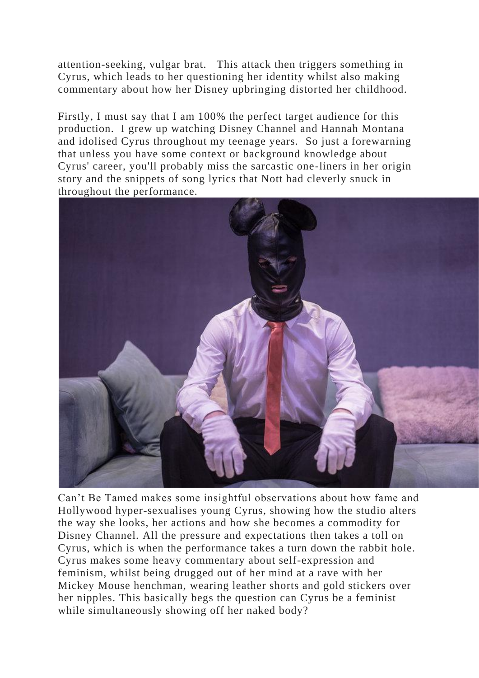attention-seeking, vulgar brat. This attack then triggers something in Cyrus, which leads to her questioning her identity whilst also making commentary about how her Disney upbringing distorted her childhood.

Firstly, I must say that I am 100% the perfect target audience for this production. I grew up watching Disney Channel and Hannah Montana and idolised Cyrus throughout my teenage years. So just a forewarning that unless you have some context or background knowledge about Cyrus' career, you'll probably miss the sarcastic one-liners in her origin story and the snippets of song lyrics that Nott had cleverly snuck in throughout the performance.



Can't Be Tamed makes some insightful observations about how fame and Hollywood hyper-sexualises young Cyrus, showing how the studio alters the way she looks, her actions and how she becomes a commodity for Disney Channel. All the pressure and expectations then takes a toll on Cyrus, which is when the performance takes a turn down the rabbit hole. Cyrus makes some heavy commentary about self-expression and feminism, whilst being drugged out of her mind at a rave with her Mickey Mouse henchman, wearing leather shorts and gold stickers over her nipples. This basically begs the question can Cyrus be a feminist while simultaneously showing off her naked body?